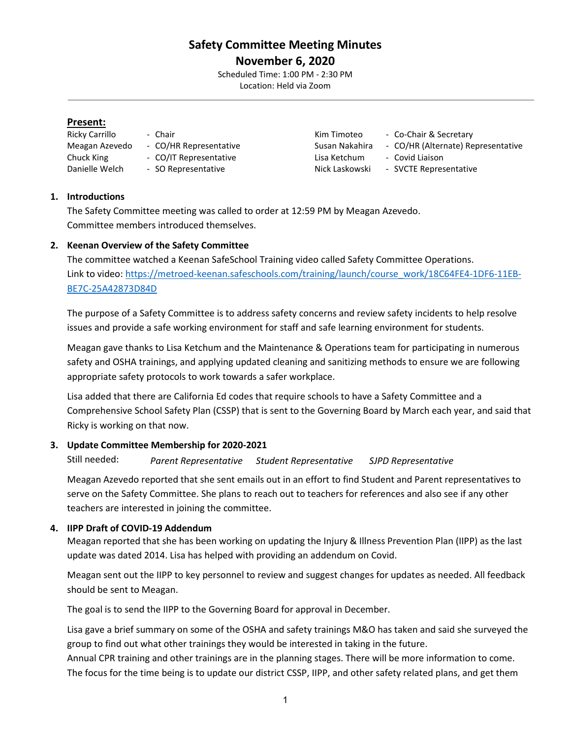# **Safety Committee Meeting Minutes November 6, 2020**

Scheduled Time: 1:00 PM - 2:30 PM Location: Held via Zoom

#### **Present:**

- Chuck King The CO/IT Representative The Lisa Ketchum Covid Liaison
	-
- 
- Ricky Carrillo Chair Chair Chair Kim Timoteo Co-Chair & Secretary
- Meagan Azevedo CO/HR Representative Susan Nakahira CO/HR (Alternate) Representative
	-
- Danielle Welch SO Representative Nick Laskowski SVCTE Representative

#### **1. Introductions**

The Safety Committee meeting was called to order at 12:59 PM by Meagan Azevedo. Committee members introduced themselves.

# **2. Keenan Overview of the Safety Committee**

The committee watched a Keenan SafeSchool Training video called Safety Committee Operations. Link to video: [https://metroed-keenan.safeschools.com/training/launch/course\\_work/18C64FE4-1DF6-11EB-](https://metroed-keenan.safeschools.com/training/launch/course_work/18C64FE4-1DF6-11EB-BE7C-25A42873D84D)[BE7C-25A42873D84D](https://metroed-keenan.safeschools.com/training/launch/course_work/18C64FE4-1DF6-11EB-BE7C-25A42873D84D)

The purpose of a Safety Committee is to address safety concerns and review safety incidents to help resolve issues and provide a safe working environment for staff and safe learning environment for students.

Meagan gave thanks to Lisa Ketchum and the Maintenance & Operations team for participating in numerous safety and OSHA trainings, and applying updated cleaning and sanitizing methods to ensure we are following appropriate safety protocols to work towards a safer workplace.

Lisa added that there are California Ed codes that require schools to have a Safety Committee and a Comprehensive School Safety Plan (CSSP) that is sent to the Governing Board by March each year, and said that Ricky is working on that now.

# **3. Update Committee Membership for 2020-2021**

Still needed: *Parent Representative Student Representative SJPD Representative*

Meagan Azevedo reported that she sent emails out in an effort to find Student and Parent representatives to serve on the Safety Committee. She plans to reach out to teachers for references and also see if any other teachers are interested in joining the committee.

# **4. IIPP Draft of COVID-19 Addendum**

Meagan reported that she has been working on updating the Injury & Illness Prevention Plan (IIPP) as the last update was dated 2014. Lisa has helped with providing an addendum on Covid.

Meagan sent out the IIPP to key personnel to review and suggest changes for updates as needed. All feedback should be sent to Meagan.

The goal is to send the IIPP to the Governing Board for approval in December.

Lisa gave a brief summary on some of the OSHA and safety trainings M&O has taken and said she surveyed the group to find out what other trainings they would be interested in taking in the future.

Annual CPR training and other trainings are in the planning stages. There will be more information to come. The focus for the time being is to update our district CSSP, IIPP, and other safety related plans, and get them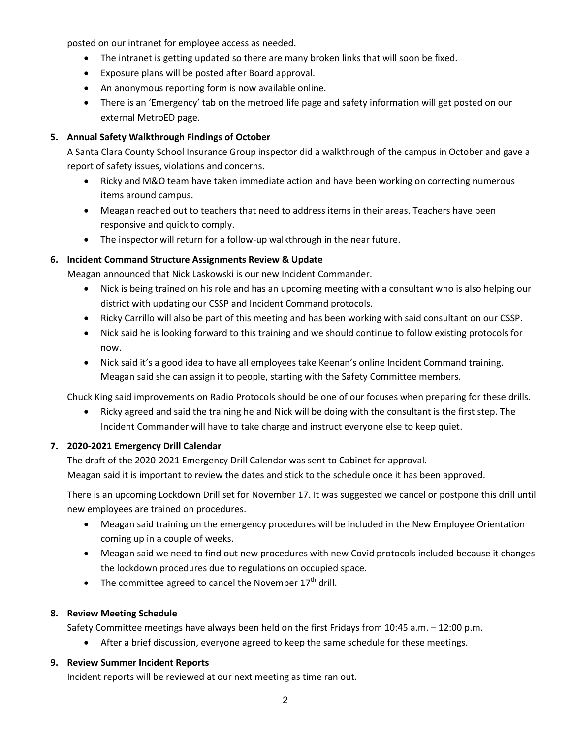posted on our intranet for employee access as needed.

- The intranet is getting updated so there are many broken links that will soon be fixed.
- Exposure plans will be posted after Board approval.
- An anonymous reporting form is now available online.
- There is an 'Emergency' tab on the metroed.life page and safety information will get posted on our external MetroED page.

# **5. Annual Safety Walkthrough Findings of October**

A Santa Clara County School Insurance Group inspector did a walkthrough of the campus in October and gave a report of safety issues, violations and concerns.

- Ricky and M&O team have taken immediate action and have been working on correcting numerous items around campus.
- Meagan reached out to teachers that need to address items in their areas. Teachers have been responsive and quick to comply.
- The inspector will return for a follow-up walkthrough in the near future.

# **6. Incident Command Structure Assignments Review & Update**

Meagan announced that Nick Laskowski is our new Incident Commander.

- Nick is being trained on his role and has an upcoming meeting with a consultant who is also helping our district with updating our CSSP and Incident Command protocols.
- Ricky Carrillo will also be part of this meeting and has been working with said consultant on our CSSP.
- Nick said he is looking forward to this training and we should continue to follow existing protocols for now.
- Nick said it's a good idea to have all employees take Keenan's online Incident Command training. Meagan said she can assign it to people, starting with the Safety Committee members.

Chuck King said improvements on Radio Protocols should be one of our focuses when preparing for these drills.

• Ricky agreed and said the training he and Nick will be doing with the consultant is the first step. The Incident Commander will have to take charge and instruct everyone else to keep quiet.

# **7. 2020-2021 Emergency Drill Calendar**

The draft of the 2020-2021 Emergency Drill Calendar was sent to Cabinet for approval. Meagan said it is important to review the dates and stick to the schedule once it has been approved.

There is an upcoming Lockdown Drill set for November 17. It was suggested we cancel or postpone this drill until new employees are trained on procedures.

- Meagan said training on the emergency procedures will be included in the New Employee Orientation coming up in a couple of weeks.
- Meagan said we need to find out new procedures with new Covid protocols included because it changes the lockdown procedures due to regulations on occupied space.
- The committee agreed to cancel the November  $17<sup>th</sup>$  drill.

# **8. Review Meeting Schedule**

Safety Committee meetings have always been held on the first Fridays from 10:45 a.m. – 12:00 p.m.

• After a brief discussion, everyone agreed to keep the same schedule for these meetings.

# **9. Review Summer Incident Reports**

Incident reports will be reviewed at our next meeting as time ran out.